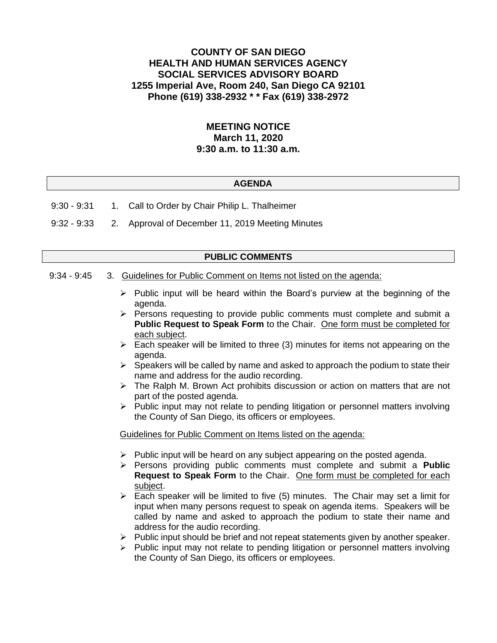# **COUNTY OF SAN DIEGO HEALTH AND HUMAN SERVICES AGENCY SOCIAL SERVICES ADVISORY BOARD 1255 Imperial Ave, Room 240, San Diego CA 92101 Phone (619) 338-2932 \* \* Fax (619) 338-2972**

# **MEETING NOTICE March 11, 2020 9:30 a.m. to 11:30 a.m.**

#### **AGENDA**

- 9:30 9:31 1. Call to Order by Chair Philip L. Thalheimer
- 9:32 9:33 2. Approval of December 11, 2019 Meeting Minutes

## **PUBLIC COMMENTS**

#### 9:34 - 9:45 3. Guidelines for Public Comment on Items not listed on the agenda:

- $\triangleright$  Public input will be heard within the Board's purview at the beginning of the agenda.
- ➢ Persons requesting to provide public comments must complete and submit a **Public Request to Speak Form** to the Chair. One form must be completed for each subject.
- $\triangleright$  Each speaker will be limited to three (3) minutes for items not appearing on the agenda.
- $\triangleright$  Speakers will be called by name and asked to approach the podium to state their name and address for the audio recording.
- $\triangleright$  The Ralph M. Brown Act prohibits discussion or action on matters that are not part of the posted agenda.
- ➢ Public input may not relate to pending litigation or personnel matters involving the County of San Diego, its officers or employees.

#### Guidelines for Public Comment on Items listed on the agenda:

- ➢ Public input will be heard on any subject appearing on the posted agenda.
- ➢ Persons providing public comments must complete and submit a **Public Request to Speak Form** to the Chair. One form must be completed for each subject.
- $\triangleright$  Each speaker will be limited to five (5) minutes. The Chair may set a limit for input when many persons request to speak on agenda items. Speakers will be called by name and asked to approach the podium to state their name and address for the audio recording.
- $\triangleright$  Public input should be brief and not repeat statements given by another speaker.
- ➢ Public input may not relate to pending litigation or personnel matters involving the County of San Diego, its officers or employees.